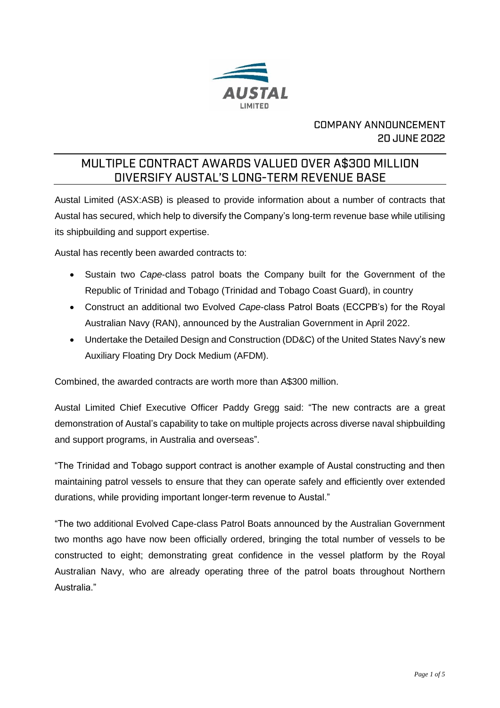

## **COMPANY ANNOUNCEMENT 20 JUNE 2022**

# MULTIPLE CONTRACT AWARDS VALUED OVER A\$300 MILLION DIVERSIFY AUSTAL'S LONG-TERM REVENUE BASE

Austal Limited (ASX:ASB) is pleased to provide information about a number of contracts that Austal has secured, which help to diversify the Company's long-term revenue base while utilising its shipbuilding and support expertise.

Austal has recently been awarded contracts to:

- Sustain two *Cape*-class patrol boats the Company built for the Government of the Republic of Trinidad and Tobago (Trinidad and Tobago Coast Guard), in country
- Construct an additional two Evolved *Cape*-class Patrol Boats (ECCPB's) for the Royal Australian Navy (RAN), announced by the Australian Government in April 2022.
- Undertake the Detailed Design and Construction (DD&C) of the United States Navy's new Auxiliary Floating Dry Dock Medium (AFDM).

Combined, the awarded contracts are worth more than A\$300 million.

Austal Limited Chief Executive Officer Paddy Gregg said: "The new contracts are a great demonstration of Austal's capability to take on multiple projects across diverse naval shipbuilding and support programs, in Australia and overseas".

"The Trinidad and Tobago support contract is another example of Austal constructing and then maintaining patrol vessels to ensure that they can operate safely and efficiently over extended durations, while providing important longer-term revenue to Austal."

"The two additional Evolved Cape-class Patrol Boats announced by the Australian Government two months ago have now been officially ordered, bringing the total number of vessels to be constructed to eight; demonstrating great confidence in the vessel platform by the Royal Australian Navy, who are already operating three of the patrol boats throughout Northern Australia."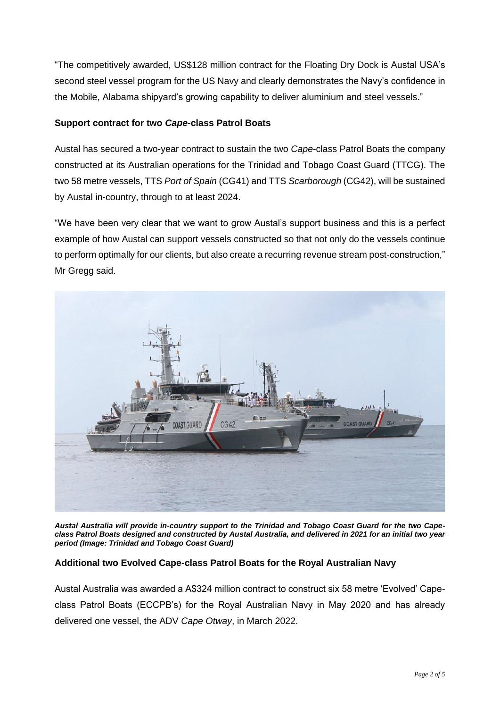"The competitively awarded, US\$128 million contract for the Floating Dry Dock is Austal USA's second steel vessel program for the US Navy and clearly demonstrates the Navy's confidence in the Mobile, Alabama shipyard's growing capability to deliver aluminium and steel vessels."

#### **Support contract for two** *Cape***-class Patrol Boats**

Austal has secured a two-year contract to sustain the two *Cape*-class Patrol Boats the company constructed at its Australian operations for the Trinidad and Tobago Coast Guard (TTCG). The two 58 metre vessels, TTS *Port of Spain* (CG41) and TTS *Scarborough* (CG42), will be sustained by Austal in-country, through to at least 2024.

"We have been very clear that we want to grow Austal's support business and this is a perfect example of how Austal can support vessels constructed so that not only do the vessels continue to perform optimally for our clients, but also create a recurring revenue stream post-construction," Mr Gregg said.



*Austal Australia will provide in-country support to the Trinidad and Tobago Coast Guard for the two Capeclass Patrol Boats designed and constructed by Austal Australia, and delivered in 2021 for an initial two year period (Image: Trinidad and Tobago Coast Guard)*

#### **Additional two Evolved Cape-class Patrol Boats for the Royal Australian Navy**

Austal Australia was awarded a A\$324 million contract to construct six 58 metre 'Evolved' Capeclass Patrol Boats (ECCPB's) for the Royal Australian Navy in May 2020 and has already delivered one vessel, the ADV *Cape Otway*, in March 2022.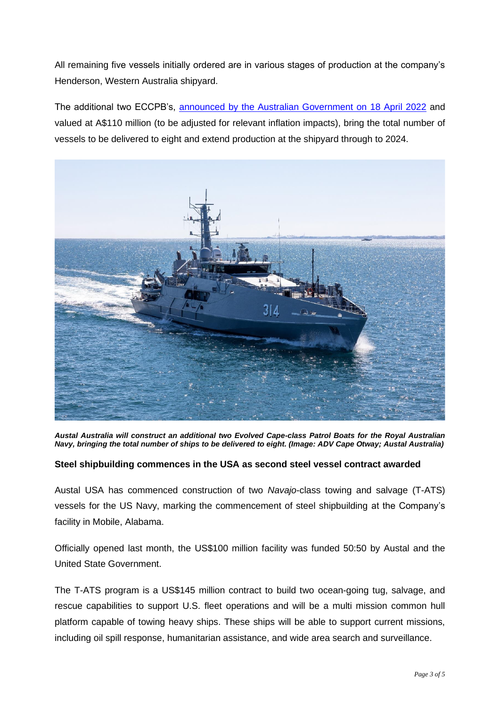All remaining five vessels initially ordered are in various stages of production at the company's Henderson, Western Australia shipyard.

The additional two ECCPB's, [announced by the Australian Government on 18 April 2022](https://www.austal.com/news/austal-australia-build-additional-two-evolved-cape-class-patrol-boats-royal-australian-navy) and valued at A\$110 million (to be adjusted for relevant inflation impacts), bring the total number of vessels to be delivered to eight and extend production at the shipyard through to 2024.



*Austal Australia will construct an additional two Evolved Cape-class Patrol Boats for the Royal Australian Navy, bringing the total number of ships to be delivered to eight. (Image: ADV Cape Otway; Austal Australia)*

### **Steel shipbuilding commences in the USA as second steel vessel contract awarded**

Austal USA has commenced construction of two *Navajo*-class towing and salvage (T-ATS) vessels for the US Navy, marking the commencement of steel shipbuilding at the Company's facility in Mobile, Alabama.

Officially opened last month, the US\$100 million facility was funded 50:50 by Austal and the United State Government.

The T-ATS program is a US\$145 million contract to build two ocean-going tug, salvage, and rescue capabilities to support U.S. fleet operations and will be a multi mission common hull platform capable of towing heavy ships. These ships will be able to support current missions, including oil spill response, humanitarian assistance, and wide area search and surveillance.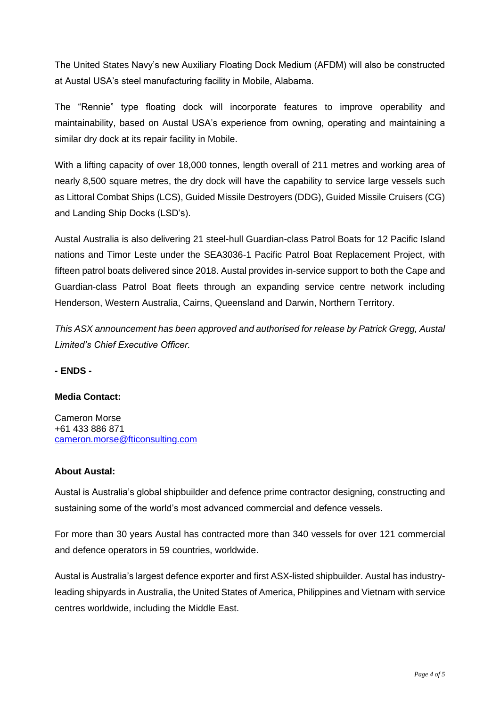The United States Navy's new Auxiliary Floating Dock Medium (AFDM) will also be constructed at Austal USA's steel manufacturing facility in Mobile, Alabama.

The "Rennie" type floating dock will incorporate features to improve operability and maintainability, based on Austal USA's experience from owning, operating and maintaining a similar dry dock at its repair facility in Mobile.

With a lifting capacity of over 18,000 tonnes, length overall of 211 metres and working area of nearly 8,500 square metres, the dry dock will have the capability to service large vessels such as Littoral Combat Ships (LCS), Guided Missile Destroyers (DDG), Guided Missile Cruisers (CG) and Landing Ship Docks (LSD's).

Austal Australia is also delivering 21 steel-hull Guardian-class Patrol Boats for 12 Pacific Island nations and Timor Leste under the SEA3036-1 Pacific Patrol Boat Replacement Project, with fifteen patrol boats delivered since 2018. Austal provides in-service support to both the Cape and Guardian-class Patrol Boat fleets through an expanding service centre network including Henderson, Western Australia, Cairns, Queensland and Darwin, Northern Territory.

*This ASX announcement has been approved and authorised for release by Patrick Gregg, Austal Limited's Chief Executive Officer.* 

**- ENDS -**

#### **Media Contact:**

Cameron Morse +61 433 886 871 [cameron.morse@fticonsulting.com](mailto:cameron.morse@fticonsulting.com)

#### **About Austal:**

Austal is Australia's global shipbuilder and defence prime contractor designing, constructing and sustaining some of the world's most advanced commercial and defence vessels.

For more than 30 years Austal has contracted more than 340 vessels for over 121 commercial and defence operators in 59 countries, worldwide.

Austal is Australia's largest defence exporter and first ASX-listed shipbuilder. Austal has industryleading shipyards in Australia, the United States of America, Philippines and Vietnam with service centres worldwide, including the Middle East.